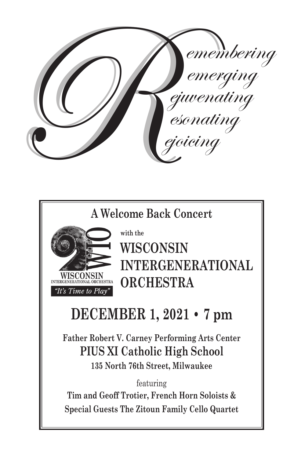

**A Welcome Back Concert**



**with the WISCONSIN INTERGENERATIONAL ORCHESTRA**

# **DECEMBER 1, 2021 • 7 pm**

**Father Robert V. Carney Performing Arts Center PIUS XI Catholic High School**

**135 North 76th Street, Milwaukee**

featuring

**Tim and Geoff Trotier, French Horn Soloists & Special Guests The Zitoun Family Cello Quartet**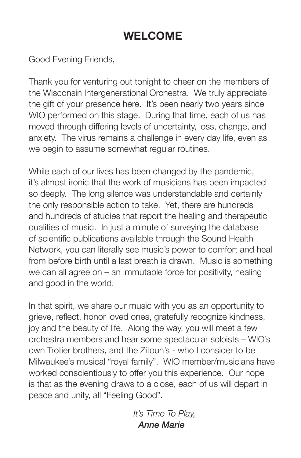## **WELCOME**

Good Evening Friends,

Thank you for venturing out tonight to cheer on the members of the Wisconsin Intergenerational Orchestra. We truly appreciate the gift of your presence here. It's been nearly two years since WIO performed on this stage. During that time, each of us has moved through differing levels of uncertainty, loss, change, and anxiety. The virus remains a challenge in every day life, even as we begin to assume somewhat regular routines.

While each of our lives has been changed by the pandemic, it's almost ironic that the work of musicians has been impacted so deeply. The long silence was understandable and certainly the only responsible action to take. Yet, there are hundreds and hundreds of studies that report the healing and therapeutic qualities of music. In just a minute of surveying the database of scientific publications available through the Sound Health Network, you can literally see music's power to comfort and heal from before birth until a last breath is drawn. Music is something we can all agree on – an immutable force for positivity, healing and good in the world.

In that spirit, we share our music with you as an opportunity to grieve, reflect, honor loved ones, gratefully recognize kindness, joy and the beauty of life. Along the way, you will meet a few orchestra members and hear some spectacular soloists – WIO's own Trotier brothers, and the Zitoun's - who I consider to be Milwaukee's musical "royal family". WIO member/musicians have worked conscientiously to offer you this experience. Our hope is that as the evening draws to a close, each of us will depart in peace and unity, all "Feeling Good".

> *It's Time To Play, Anne Marie*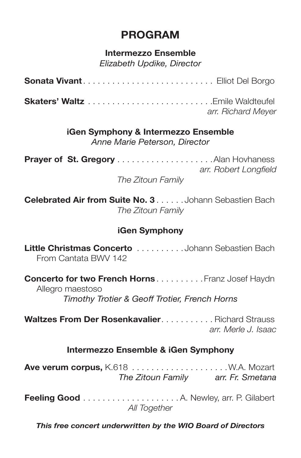## **PROGRAM**

### **Intermezzo Ensemble**

*Elizabeth Updike, Director*

| arr. Richard Meyer |
|--------------------|

### **iGen Symphony & Intermezzo Ensemble**

*Anne Marie Peterson, Director*

**Prayer of St. Gregory**. Alan Hovhaness *arr. Robert Longfield*

*The Zitoun Family*

**Celebrated Air from Suite No. 3**. Johann Sebastien Bach *The Zitoun Family*

### **iGen Symphony**

**Little Christmas Concerto**. Johann Sebastien Bach From Cantata BWV 142

**Concerto for two French Horns.........** Franz Josef Haydn Allegro maestoso *Timothy Trotier & Geoff Trotier, French Horns*

**Waltzes From Der Rosenkavalier................ Richard Strauss** *arr. Merle J. Isaac*

### **Intermezzo Ensemble & iGen Symphony**

**Ave verum corpus,** K.618 . W.A. Mozart *The Zitoun Family arr. Fr. Smetana*

**Feeling Good**. A. Newley, arr. P. Gilabert *All Together*

*This free concert underwritten by the WIO Board of Directors*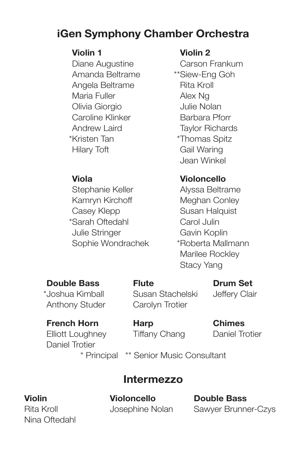## **iGen Symphony Chamber Orchestra**

*\*\**Diane Augustine *\*\**Carson Frankum Amanda Beltrame \*\*Siew-Eng Goh *\*\**Angela Beltrame *\*\**Rita Kroll **Maria Fuller \*\*\*** Alex Ng *\*\**Olivia Giorgio *\*\**Julie Nolan **Caroline Klinker \*\*\* Barbara Pforr** *\*\**Andrew Laird *\*\**Taylor Richards \*Kristen Tan \*Thomas Spitz *\*\**Hilary Toft *\*\**Gail Waring

*\*\**Stephanie Keller *\*\**Alyssa Beltrame Kamryn Kirchoff **\*\*\*** Meghan Conley *\*\**Casey Klepp *\*\**Susan Halquist \*\*Sarah Oftedahl \*\*Carol Julin *\*\**Julie Stringer *\*\**Gavin Koplin Sophie Wondrachek \*\*Roberta Mallmann

Anthony Studer Carolyn Trotier

### *\*\****Violin 1** *\*\****Violin 2**

*\*\**Jean Winkel

### *\*\****Viola** *\*\****Violoncello**

Marilee Rockley **Stacy Yang** 

### **Double Bass Flute Drum Set**

\*\*Joshua Kimball Susan Stachelski Jeffery Clair

### *\*\****French Horn Harp Chimes**

**Elliott Loughney Tiffany Chang Daniel Trotier** *\*\**Daniel Trotier

### \* Principal \*\* Senior Music Consultant

## **Intermezzo**

Nina Oftedahl

**Violin Violoncello Double Bass**

Rita Kroll Josephine Nolan Sawyer Brunner-Czys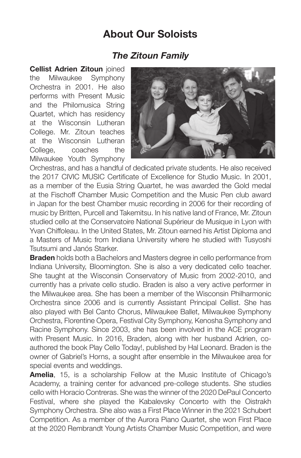### **About Our Soloists**

### *The Zitoun Family*

**Cellist Adrien Zitoun** joined the Milwaukee Symphony Orchestra in 2001. He also performs with Present Music and the Philomusica String Quartet, which has residency at the Wisconsin Lutheran College. Mr. Zitoun teaches at the Wisconsin Lutheran College, coaches the Milwaukee Youth Symphony



Orchestras, and has a handful of dedicated private students. He also received the 2017 CIVIC MUSIC Certificate of Excellence for Studio Music. In 2001, as a member of the Eusia String Quartet, he was awarded the Gold medal at the Fischoff Chamber Music Competition and the Music Pen club award in Japan for the best Chamber music recording in 2006 for their recording of music by Britten, Purcell and Takemitsu. In his native land of France, Mr. Zitoun studied cello at the Conservatoire National Supérieur de Musique in Lyon with Yvan Chiffoleau. In the United States, Mr. Zitoun earned his Artist Diploma and a Masters of Music from Indiana University where he studied with Tusyoshi Tsutsumi and Janós Starker.

**Braden** holds both a Bachelors and Masters degree in cello performance from Indiana University, Bloomington. She is also a very dedicated cello teacher. She taught at the Wisconsin Conservatory of Music from 2002-2010, and currently has a private cello studio. Braden is also a very active performer in the Milwaukee area. She has been a member of the Wisconsin Philharmonic Orchestra since 2006 and is currently Assistant Principal Cellist. She has also played with Bel Canto Chorus, Milwaukee Ballet, Milwaukee Symphony Orchestra, Florentine Opera, Festival City Symphony, Kenosha Symphony and Racine Symphony. Since 2003, she has been involved in the ACE program with Present Music. In 2016, Braden, along with her husband Adrien, coauthored the book Play Cello Today!, published by Hal Leonard. Braden is the owner of Gabriel's Horns, a sought after ensemble in the Milwaukee area for special events and weddings.

**Amelia**, 15, is a scholarship Fellow at the Music Institute of Chicago's Academy, a training center for advanced pre-college students. She studies cello with Horacio Contreras. She was the winner of the 2020 DePaul Concerto Festival, where she played the Kabalevsky Concerto with the Oistrakh Symphony Orchestra. She also was a First Place Winner in the 2021 Schubert Competition. As a member of the Aurora Piano Quartet, she won First Place at the 2020 Rembrandt Young Artists Chamber Music Competition, and were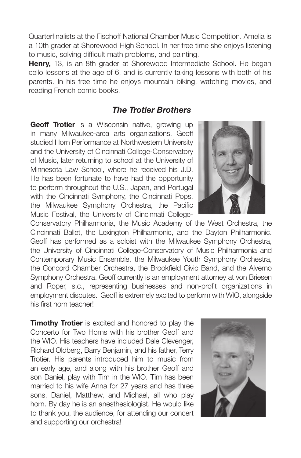Quarterfinalists at the Fischoff National Chamber Music Competition. Amelia is a 10th grader at Shorewood High School. In her free time she enjoys listening to music, solving difficult math problems, and painting.

**Henry,** 13, is an 8th grader at Shorewood Intermediate School. He began cello lessons at the age of 6, and is currently taking lessons with both of his parents. In his free time he enjoys mountain biking, watching movies, and reading French comic books.

### *The Trotier Brothers*

**Geoff Trotier** is a Wisconsin native, growing up in many Milwaukee-area arts organizations. Geoff studied Horn Performance at Northwestern University and the University of Cincinnati College-Conservatory of Music, later returning to school at the University of Minnesota Law School, where he received his J.D. He has been fortunate to have had the opportunity to perform throughout the U.S., Japan, and Portugal with the Cincinnati Symphony, the Cincinnati Pops, the Milwaukee Symphony Orchestra, the Pacific Music Festival, the University of Cincinnati College-



Conservatory Philharmonia, the Music Academy of the West Orchestra, the Cincinnati Ballet, the Lexington Philharmonic, and the Dayton Philharmonic. Geoff has performed as a soloist with the Milwaukee Symphony Orchestra, the University of Cincinnati College-Conservatory of Music Philharmonia and Contemporary Music Ensemble, the Milwaukee Youth Symphony Orchestra, the Concord Chamber Orchestra, the Brookfield Civic Band, and the Alverno Symphony Orchestra. Geoff currently is an employment attorney at von Briesen and Roper, s.c., representing businesses and non-profit organizations in employment disputes. Geoff is extremely excited to perform with WIO, alongside his first horn teacher!

**Timothy Trotier** is excited and honored to play the Concerto for Two Horns with his brother Geoff and the WIO. His teachers have included Dale Clevenger, Richard Oldberg, Barry Benjamin, and his father, Terry Trotier. His parents introduced him to music from an early age, and along with his brother Geoff and son Daniel, play with Tim in the WIO. Tim has been married to his wife Anna for 27 years and has three sons, Daniel, Matthew, and Michael, all who play horn. By day he is an anesthesiologist. He would like to thank you, the audience, for attending our concert and supporting our orchestra!

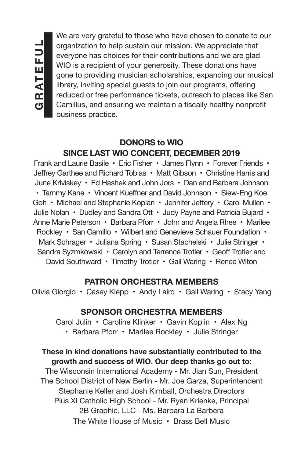We are very grateful to those who have chosen to donate to our organization to help sustain our mission. We appreciate that everyone has choices for their contributions and we are glad WIO is a recipient of your generosity. These donations have gone to providing musician scholarships, expanding our musical library, inviting special guests to join our programs, offering reduced or free performance tickets, outreach to places like San Camillus, and ensuring we maintain a fiscally healthy nonprofit business practice.

### **DONORS to WIO SINCE LAST WIO CONCERT, DECEMBER 2019**

Frank and Laurie Basile • Eric Fisher • James Flynn • Forever Friends • Jeffrey Garthee and Richard Tobias • Matt Gibson • Christine Harris and June Kriviskey • Ed Hashek and John Jors • Dan and Barbara Johnson • Tammy Kane • Vincent Kueffner and David Johnson • Siew-Eng Koe Goh • Michael and Stephanie Koplan • Jennifer Jeffery • Carol Mullen • Julie Nolan • Dudley and Sandra Ott • Judy Payne and Patricia Bujard • Anne Marie Peterson • Barbara Pforr • John and Angela Rhee • Marilee Rockley • San Camillo • Wilbert and Genevieve Schauer Foundation • Mark Schrager • Juliana Spring • Susan Stachelski • Julie Stringer • Sandra Syzmkowski • Carolyn and Terrence Trotier • Geoff Trotier and David Southward • Timothy Trotier • Gail Waring • Renee Witon

### **PATRON ORCHESTRA MEMBERS**

Olivia Giorgio • Casey Klepp • Andy Laird • Gail Waring • Stacy Yang

### **SPONSOR ORCHESTRA MEMBERS**

Carol Julin • Caroline Klinker • Gavin Koplin • Alex Ng • Barbara Pforr • Marilee Rockley • Julie Stringer

### **These in kind donations have substantially contributed to the growth and success of WIO. Our deep thanks go out to:**

The Wisconsin International Academy - Mr. Jian Sun, President The School District of New Berlin - Mr. Joe Garza, Superintendent Stephanie Keller and Josh Kimball, Orchestra Directors Pius XI Catholic High School - Mr. Ryan Krienke, Principal 2B Graphic, LLC - Ms. Barbara La Barbera The White House of Music • Brass Bell Music